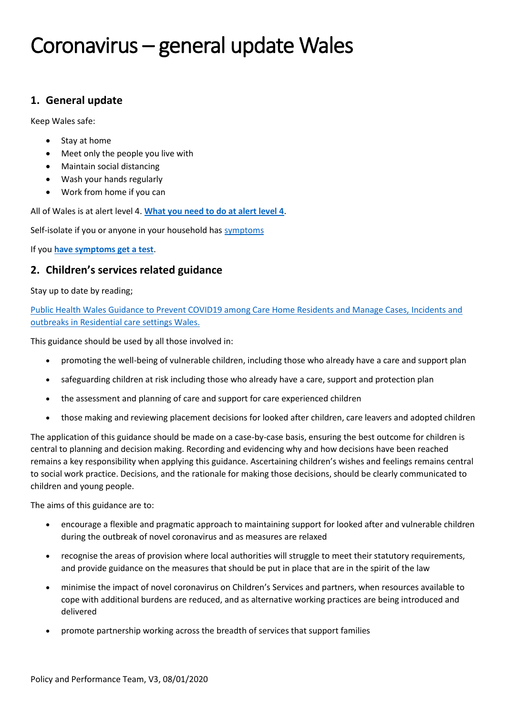## **1. General update**

Keep Wales safe:

- Stay at home
- Meet only the people you live with
- Maintain social distancing
- Wash your hands regularly
- Work from home if you can

All of Wales is at alert level 4. **[What you need to do at alert level 4](https://gov.wales/alert-level-4)**.

Self-isolate if you or anyone in your household has [symptoms](https://gov.wales/check-your-symptoms-see-if-you-need-coronavirus-medical-help)

If you **[have symptoms get a test](https://gov.wales/getting-tested-coronavirus-covid-19)**.

## **2. Children's services related guidance**

#### Stay up to date by reading;

[Public Health Wales Guidance to Prevent COVID19 among Care Home Residents and Manage Cases,](https://phw.nhs.wales/topics/latest-information-on-novel-coronavirus-covid-19/information-for-health-and-social-care/gui-001-covid-19-in-residential-care-settings/) Incidents and [outbreaks in Residential care settings Wales.](https://phw.nhs.wales/topics/latest-information-on-novel-coronavirus-covid-19/information-for-health-and-social-care/gui-001-covid-19-in-residential-care-settings/) 

This guidance should be used by all those involved in:

- promoting the well-being of vulnerable children, including those who already have a care and support plan
- safeguarding children at risk including those who already have a care, support and protection plan
- the assessment and planning of care and support for care experienced children
- those making and reviewing placement decisions for looked after children, care leavers and adopted children

The application of this guidance should be made on a case-by-case basis, ensuring the best outcome for children is central to planning and decision making. Recording and evidencing why and how decisions have been reached remains a key responsibility when applying this guidance. Ascertaining children's wishes and feelings remains central to social work practice. Decisions, and the rationale for making those decisions, should be clearly communicated to children and young people.

The aims of this guidance are to:

- encourage a flexible and pragmatic approach to maintaining support for looked after and vulnerable children during the outbreak of novel coronavirus and as measures are relaxed
- recognise the areas of provision where local authorities will struggle to meet their statutory requirements, and provide guidance on the measures that should be put in place that are in the spirit of the law
- minimise the impact of novel coronavirus on Children's Services and partners, when resources available to cope with additional burdens are reduced, and as alternative working practices are being introduced and delivered
- promote partnership working across the breadth of services that support families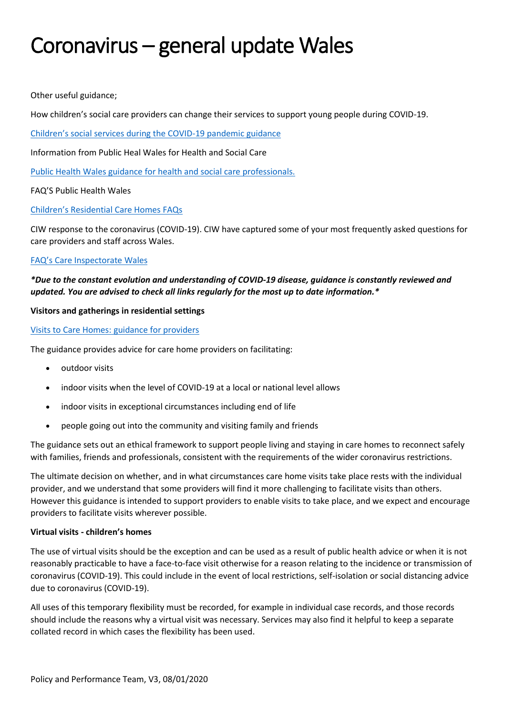Other useful guidance;

How children's social care providers can change their services to support young people during COVID-19.

[Children's social services during the COVID](https://gov.wales/childrens-social-services-during-covid-19-pandemic-guidance-html)-19 pandemic guidance

Information from Public Heal Wales for Health and Social Care

[Public Health Wales guidance for health and social care professionals.](https://phw.nhs.wales/topics/latest-information-on-novel-coronavirus-covid-19/information-for-health-and-social-care/)

FAQ'S Public Health Wales

#### [Children's Residential Care Homes FAQs](https://phw.nhs.wales/topics/latest-information-on-novel-coronavirus-covid-19/information-for-health-and-social-care/faq-002-childrens-residential-care-homes-faqs/)

CIW response to the coronavirus (COVID-19). CIW have captured some of your most frequently asked questions for care providers and staff across Wales.

#### [FAQ's Care Inspectorate](https://careinspectorate.wales/coronavirus-covid-19-frequently-asked-questions-faqs) Wales

## *\*Due to the constant evolution and understanding of COVID-19 disease, guidance is constantly reviewed and updated. You are advised to check all links regularly for the most up to date information.\**

#### **Visitors and gatherings in residential settings**

#### [Visits to Care Homes: guidance for providers](https://gov.wales/visits-care-homes-guidance-providers-html)

The guidance provides advice for care home providers on facilitating:

- outdoor visits
- indoor visits when the level of COVID-19 at a local or national level allows
- indoor visits in exceptional circumstances including end of life
- people going out into the community and visiting family and friends

The guidance sets out an ethical framework to support people living and staying in care homes to reconnect safely with families, friends and professionals, consistent with the requirements of the wider coronavirus restrictions.

The ultimate decision on whether, and in what circumstances care home visits take place rests with the individual provider, and we understand that some providers will find it more challenging to facilitate visits than others. However this guidance is intended to support providers to enable visits to take place, and we expect and encourage providers to facilitate visits wherever possible.

#### **Virtual visits - children's homes**

The use of virtual visits should be the exception and can be used as a result of public health advice or when it is not reasonably practicable to have a face-to-face visit otherwise for a reason relating to the incidence or transmission of coronavirus (COVID-19). This could include in the event of local restrictions, self-isolation or social distancing advice due to coronavirus (COVID-19).

All uses of this temporary flexibility must be recorded, for example in individual case records, and those records should include the reasons why a virtual visit was necessary. Services may also find it helpful to keep a separate collated record in which cases the flexibility has been used.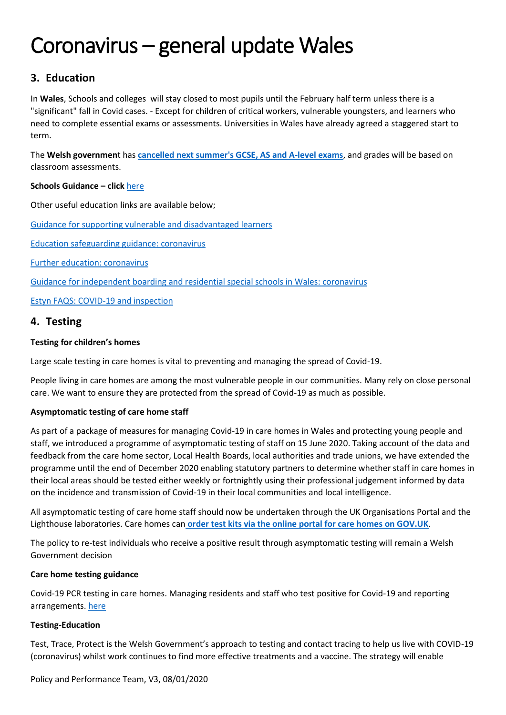# **3. Education**

In **Wales**, Schools and colleges will stay closed to most pupils until the February half term unless there is a "significant" fall in Covid cases. - Except for children of critical workers, vulnerable youngsters, and learners who need to complete essential exams or assessments. Universities in Wales have already agreed a staggered start to term.

The **Welsh governmen**t has **[cancelled next summer's GCSE, AS and A-level exams](https://www.bbc.co.uk/news/uk-wales-54888376)**, and grades will be based on classroom assessments.

### **Schools Guidance – click** [here](https://gov.wales/schools-coronavirus-guidance)

Other useful education links are available below;

[Guidance for supporting vulnerable and disadvantaged learners](https://gov.wales/guidance-supporting-vulnerable-and-disadvantaged-learners)

[Education safeguarding guidance: coronavirus](https://gov.wales/education-safeguarding-guidance-coronavirus)

[Further education: coronavirus](https://gov.wales/further-and-higher-education-coronavirus)

[Guidance for independent boarding and residential special schools in Wales: coronavirus](https://gov.wales/guidance-independent-boarding-and-residential-special-schools-wales-coronavirus)

[Estyn FAQS: COVID-19 and inspection](https://www.estyn.gov.wales/inspection/faqs-covid-19-and-inspection)

# **4. Testing**

## **Testing for children's homes**

Large scale testing in care homes is vital to preventing and managing the spread of Covid-19.

People living in care homes are among the most vulnerable people in our communities. Many rely on close personal care. We want to ensure they are protected from the spread of Covid-19 as much as possible.

## **Asymptomatic testing of care home staff**

As part of a package of measures for managing Covid-19 in care homes in Wales and protecting young people and staff, we introduced a programme of asymptomatic testing of staff on 15 June 2020. Taking account of the data and feedback from the care home sector, Local Health Boards, local authorities and trade unions, we have extended the programme until the end of December 2020 enabling statutory partners to determine whether staff in care homes in their local areas should be tested either weekly or fortnightly using their professional judgement informed by data on the incidence and transmission of Covid-19 in their local communities and local intelligence.

All asymptomatic testing of care home staff should now be undertaken through the UK Organisations Portal and the Lighthouse laboratories. Care homes can **[order test kits via the online portal for care homes on GOV.UK](https://www.gov.uk/apply-coronavirus-test-care-home)**.

The policy to re-test individuals who receive a positive result through asymptomatic testing will remain a Welsh Government decision

### **Care home testing guidance**

Covid-19 PCR testing in care homes. Managing residents and staff who test positive for Covid-19 and reporting arrangements. [here](https://gov.wales/care-home-testing-guidance-html)

### **Testing-Education**

Test, Trace, Protect is the Welsh Government's approach to testing and contact tracing to help us live with COVID-19 (coronavirus) whilst work continues to find more effective treatments and a vaccine. The strategy will enable